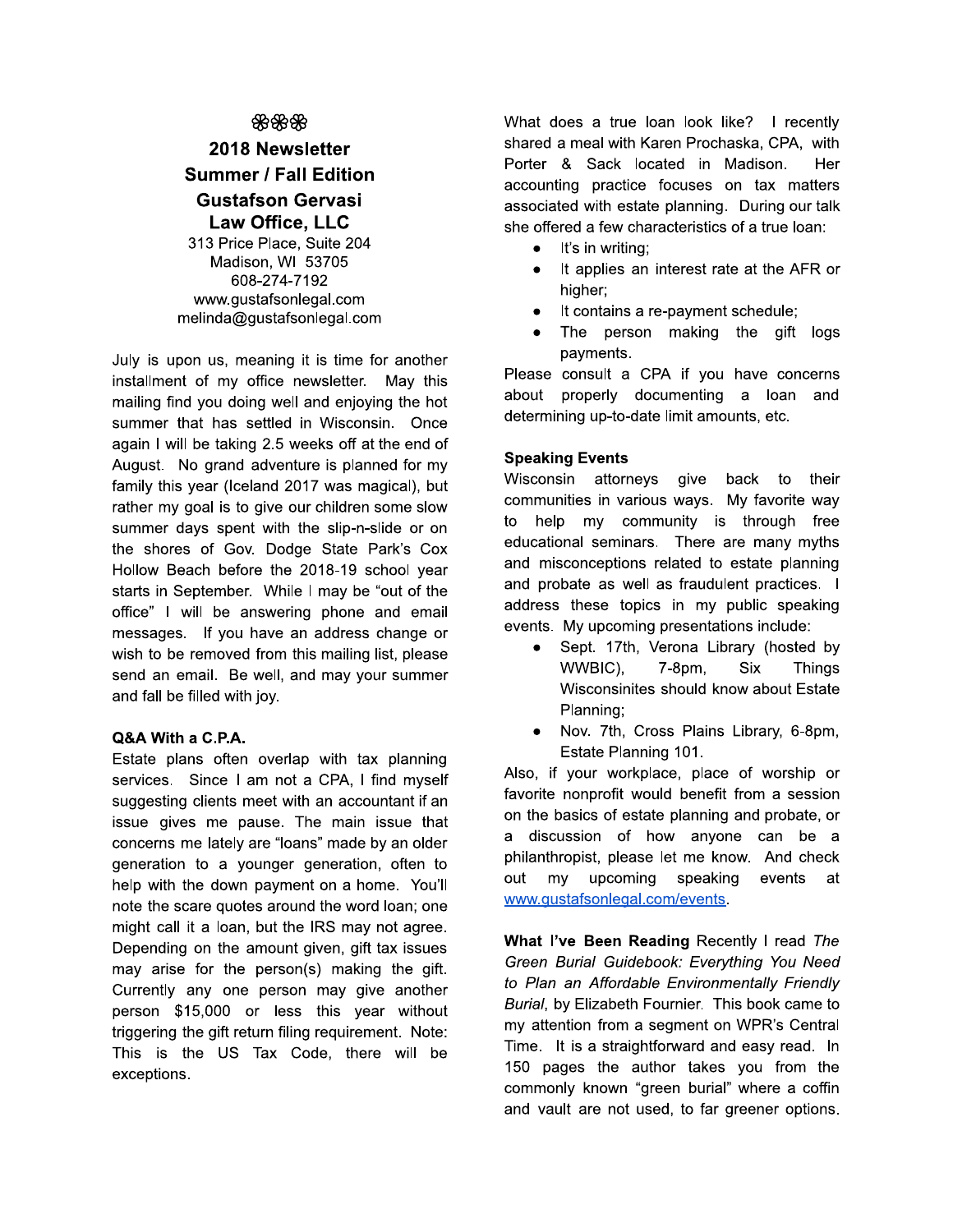## ஐ ஐ ஐ

# 2018 Newsletter **Summer / Fall Edition Gustafson Gervasi Law Office. LLC**

313 Price Place, Suite 204 Madison, WI 53705 608-274-7192 www.gustafsonlegal.com melinda@gustafsonlegal.com

July is upon us, meaning it is time for another installment of my office newsletter. May this mailing find you doing well and enjoying the hot summer that has settled in Wisconsin. Once again I will be taking 2.5 weeks off at the end of August. No grand adventure is planned for my family this year (Iceland 2017 was magical), but rather my goal is to give our children some slow summer days spent with the slip-n-slide or on the shores of Gov. Dodge State Park's Cox Hollow Beach before the 2018-19 school year starts in September. While I may be "out of the office" I will be answering phone and email messages. If you have an address change or wish to be removed from this mailing list, please send an email. Be well, and may your summer and fall be filled with joy.

### Q&A With a C.P.A.

Estate plans often overlap with tax planning services. Since I am not a CPA, I find myself suggesting clients meet with an accountant if an issue gives me pause. The main issue that concerns me lately are "loans" made by an older generation to a younger generation, often to help with the down payment on a home. You'll note the scare quotes around the word loan; one might call it a loan, but the IRS may not agree. Depending on the amount given, gift tax issues may arise for the person(s) making the gift. Currently any one person may give another person \$15,000 or less this year without triggering the gift return filing requirement. Note: This is the US Tax Code, there will be exceptions.

What does a true loan look like? I recently shared a meal with Karen Prochaska, CPA, with Porter & Sack located in Madison. Her accounting practice focuses on tax matters associated with estate planning. During our talk she offered a few characteristics of a true loan:

- It's in writing:  $\bullet$
- It applies an interest rate at the AFR or  $\bullet$ higher;
- It contains a re-payment schedule;  $\bullet$
- $\bullet$ The person making the gift logs payments.

Please consult a CPA if you have concerns about properly documenting a loan and determining up-to-date limit amounts, etc.

### **Speaking Events**

Wisconsin attorneys give back to their communities in various ways. My favorite way to help my community is through free educational seminars. There are many myths and misconceptions related to estate planning and probate as well as fraudulent practices. I address these topics in my public speaking events. My upcoming presentations include:

- Sept. 17th, Verona Library (hosted by WWBIC), 7-8pm, **Six Things** Wisconsinites should know about Estate Planning:
- Nov. 7th, Cross Plains Library, 6-8pm,  $\bullet$ Estate Planning 101.

Also, if your workplace, place of worship or favorite nonprofit would benefit from a session on the basics of estate planning and probate, or a discussion of how anyone can be a philanthropist, please let me know. And check out  $mv$ upcoming speaking events at www.gustafsonlegal.com/events.

What I've Been Reading Recently I read The Green Burial Guidebook: Everything You Need to Plan an Affordable Environmentally Friendly Burial, by Elizabeth Fournier. This book came to my attention from a segment on WPR's Central Time. It is a straightforward and easy read. In 150 pages the author takes you from the commonly known "green burial" where a coffin and vault are not used, to far greener options.